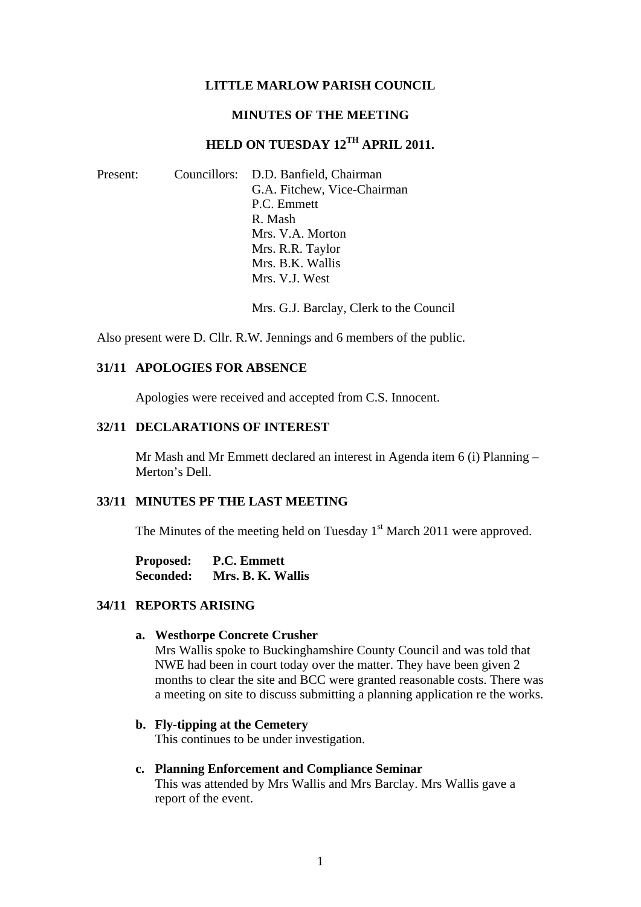#### **LITTLE MARLOW PARISH COUNCIL**

#### **MINUTES OF THE MEETING**

# **HELD ON TUESDAY 12TH APRIL 2011.**

| Present: | Councillors: D.D. Banfield, Chairman |
|----------|--------------------------------------|
|          | G.A. Fitchew, Vice-Chairman          |
|          | P.C. Emmett                          |
|          | R. Mash                              |
|          | Mrs. V.A. Morton                     |
|          | Mrs. R.R. Taylor                     |
|          | Mrs. B.K. Wallis                     |
|          | Mrs. V.J. West                       |

Mrs. G.J. Barclay, Clerk to the Council

Also present were D. Cllr. R.W. Jennings and 6 members of the public.

### **31/11 APOLOGIES FOR ABSENCE**

Apologies were received and accepted from C.S. Innocent.

#### **32/11 DECLARATIONS OF INTEREST**

Mr Mash and Mr Emmett declared an interest in Agenda item 6 (i) Planning – Merton's Dell.

### **33/11 MINUTES PF THE LAST MEETING**

The Minutes of the meeting held on Tuesday  $1<sup>st</sup>$  March 2011 were approved.

**Proposed: P.C. Emmett Seconded: Mrs. B. K. Wallis** 

#### **34/11 REPORTS ARISING**

#### **a. Westhorpe Concrete Crusher**

Mrs Wallis spoke to Buckinghamshire County Council and was told that NWE had been in court today over the matter. They have been given 2 months to clear the site and BCC were granted reasonable costs. There was a meeting on site to discuss submitting a planning application re the works.

#### **b. Fly-tipping at the Cemetery**

This continues to be under investigation.

#### **c. Planning Enforcement and Compliance Seminar**

This was attended by Mrs Wallis and Mrs Barclay. Mrs Wallis gave a report of the event.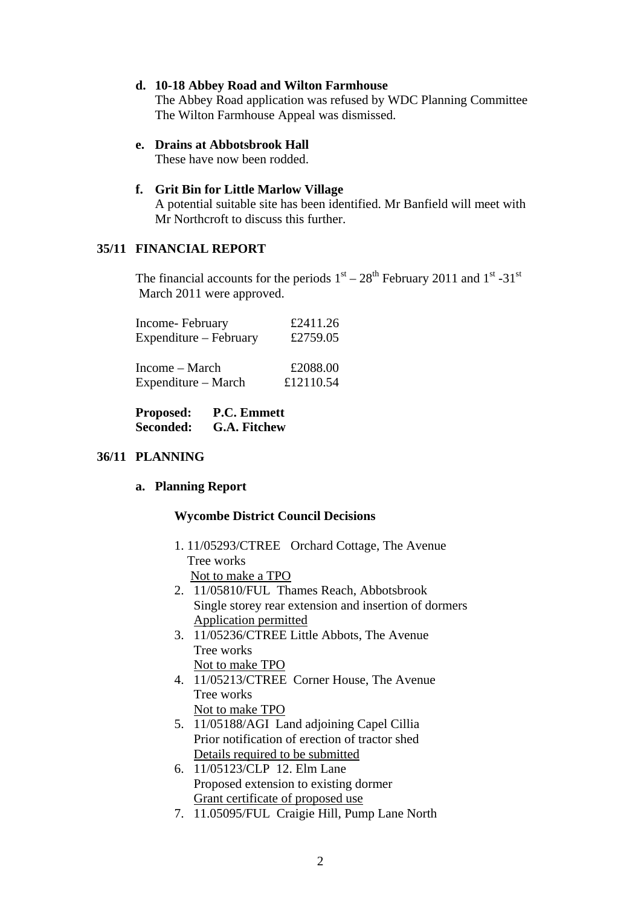#### **d. 10-18 Abbey Road and Wilton Farmhouse**

The Abbey Road application was refused by WDC Planning Committee The Wilton Farmhouse Appeal was dismissed.

#### **e. Drains at Abbotsbrook Hall**

These have now been rodded.

#### **f. Grit Bin for Little Marlow Village**

A potential suitable site has been identified. Mr Banfield will meet with Mr Northcroft to discuss this further.

### **35/11 FINANCIAL REPORT**

The financial accounts for the periods  $1<sup>st</sup> - 28<sup>th</sup>$  February 2011 and  $1<sup>st</sup> - 31<sup>st</sup>$ March 2011 were approved.

| Income-February        | £2411.26  |
|------------------------|-----------|
| Expenditure – February | £2759.05  |
|                        |           |
| Income – March         | £2088.00  |
| Expenditure – March    | £12110.54 |

**Proposed: P.C. Emmett Seconded: G.A. Fitchew** 

### **36/11 PLANNING**

### **a. Planning Report**

#### **Wycombe District Council Decisions**

- 1. 11/05293/CTREE Orchard Cottage, The Avenue Tree works Not to make a TPO
- 2. 11/05810/FUL Thames Reach, Abbotsbrook Single storey rear extension and insertion of dormers Application permitted
- 3. 11/05236/CTREE Little Abbots, The Avenue Tree works Not to make TPO
- 4. 11/05213/CTREE Corner House, The Avenue Tree works Not to make TPO
- 5. 11/05188/AGI Land adjoining Capel Cillia Prior notification of erection of tractor shed Details required to be submitted
- 6. 11/05123/CLP 12. Elm Lane Proposed extension to existing dormer Grant certificate of proposed use
- 7. 11.05095/FUL Craigie Hill, Pump Lane North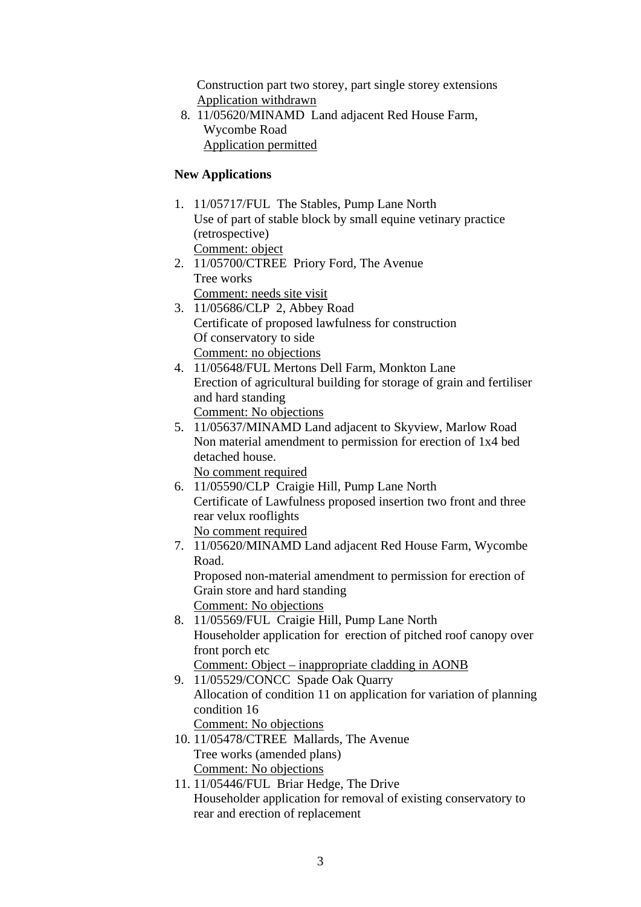Construction part two storey, part single storey extensions Application withdrawn

 8. 11/05620/MINAMD Land adjacent Red House Farm, Wycombe Road Application permitted

# **New Applications**

- 1. 11/05717/FUL The Stables, Pump Lane North Use of part of stable block by small equine vetinary practice (retrospective) Comment: object
- 2. 11/05700/CTREE Priory Ford, The Avenue Tree works Comment: needs site visit
- 3. 11/05686/CLP 2, Abbey Road Certificate of proposed lawfulness for construction Of conservatory to side Comment: no objections
- 4. 11/05648/FUL Mertons Dell Farm, Monkton Lane Erection of agricultural building for storage of grain and fertiliser and hard standing

Comment: No objections

5. 11/05637/MINAMD Land adjacent to Skyview, Marlow Road Non material amendment to permission for erection of 1x4 bed detached house.

No comment required

- 6. 11/05590/CLP Craigie Hill, Pump Lane North Certificate of Lawfulness proposed insertion two front and three rear velux rooflights No comment required
- 7. 11/05620/MINAMD Land adjacent Red House Farm, Wycombe Road.

Proposed non-material amendment to permission for erection of Grain store and hard standing

Comment: No objections

- 8. 11/05569/FUL Craigie Hill, Pump Lane North Householder application for erection of pitched roof canopy over front porch etc Comment: Object – inappropriate cladding in AONB
- 9. 11/05529/CONCC Spade Oak Quarry Allocation of condition 11 on application for variation of planning condition 16 Comment: No objections
- 10. 11/05478/CTREE Mallards, The Avenue Tree works (amended plans) Comment: No objections
- 11. 11/05446/FUL Briar Hedge, The Drive Householder application for removal of existing conservatory to rear and erection of replacement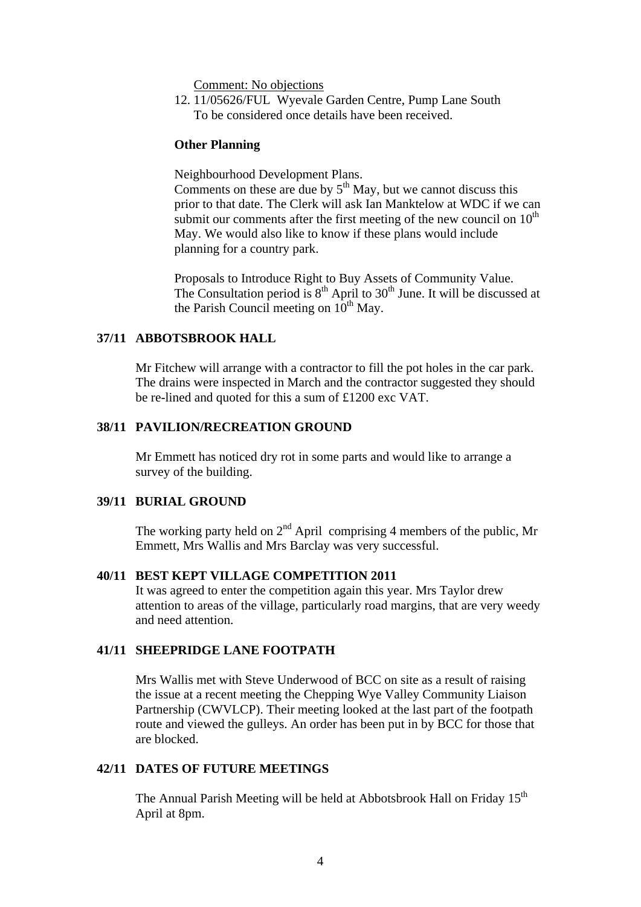Comment: No objections

12. 11/05626/FUL Wyevale Garden Centre, Pump Lane South To be considered once details have been received.

#### **Other Planning**

Neighbourhood Development Plans.

Comments on these are due by  $5<sup>th</sup>$  May, but we cannot discuss this prior to that date. The Clerk will ask Ian Manktelow at WDC if we can submit our comments after the first meeting of the new council on  $10<sup>th</sup>$ May. We would also like to know if these plans would include planning for a country park.

Proposals to Introduce Right to Buy Assets of Community Value. The Consultation period is  $8<sup>th</sup>$  April to 30<sup>th</sup> June. It will be discussed at the Parish Council meeting on  $10^{th}$  May.

### **37/11 ABBOTSBROOK HALL**

Mr Fitchew will arrange with a contractor to fill the pot holes in the car park. The drains were inspected in March and the contractor suggested they should be re-lined and quoted for this a sum of £1200 exc VAT.

#### **38/11 PAVILION/RECREATION GROUND**

Mr Emmett has noticed dry rot in some parts and would like to arrange a survey of the building.

### **39/11 BURIAL GROUND**

The working party held on  $2<sup>nd</sup>$  April comprising 4 members of the public, Mr Emmett, Mrs Wallis and Mrs Barclay was very successful.

### **40/11 BEST KEPT VILLAGE COMPETITION 2011**

It was agreed to enter the competition again this year. Mrs Taylor drew attention to areas of the village, particularly road margins, that are very weedy and need attention.

### **41/11 SHEEPRIDGE LANE FOOTPATH**

Mrs Wallis met with Steve Underwood of BCC on site as a result of raising the issue at a recent meeting the Chepping Wye Valley Community Liaison Partnership (CWVLCP). Their meeting looked at the last part of the footpath route and viewed the gulleys. An order has been put in by BCC for those that are blocked.

### **42/11 DATES OF FUTURE MEETINGS**

The Annual Parish Meeting will be held at Abbotsbrook Hall on Friday 15<sup>th</sup> April at 8pm.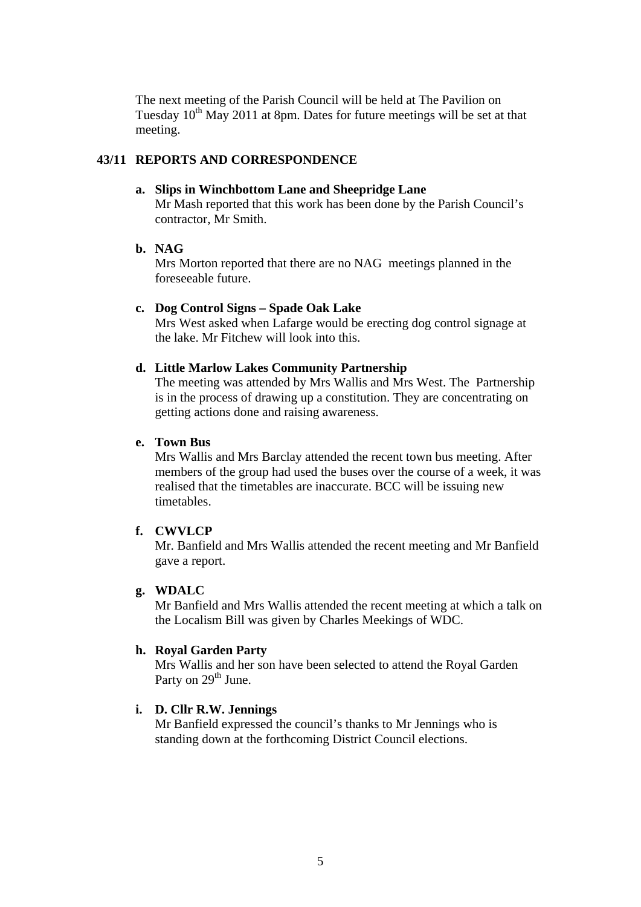The next meeting of the Parish Council will be held at The Pavilion on Tuesday  $10^{th}$  May 2011 at 8pm. Dates for future meetings will be set at that meeting.

### **43/11 REPORTS AND CORRESPONDENCE**

#### **a. Slips in Winchbottom Lane and Sheepridge Lane**

Mr Mash reported that this work has been done by the Parish Council's contractor, Mr Smith.

# **b. NAG**

Mrs Morton reported that there are no NAG meetings planned in the foreseeable future.

### **c. Dog Control Signs – Spade Oak Lake**

Mrs West asked when Lafarge would be erecting dog control signage at the lake. Mr Fitchew will look into this.

#### **d. Little Marlow Lakes Community Partnership**

The meeting was attended by Mrs Wallis and Mrs West. The Partnership is in the process of drawing up a constitution. They are concentrating on getting actions done and raising awareness.

# **e. Town Bus**

Mrs Wallis and Mrs Barclay attended the recent town bus meeting. After members of the group had used the buses over the course of a week, it was realised that the timetables are inaccurate. BCC will be issuing new timetables.

# **f. CWVLCP**

Mr. Banfield and Mrs Wallis attended the recent meeting and Mr Banfield gave a report.

# **g. WDALC**

Mr Banfield and Mrs Wallis attended the recent meeting at which a talk on the Localism Bill was given by Charles Meekings of WDC.

### **h. Royal Garden Party**

Mrs Wallis and her son have been selected to attend the Royal Garden Party on 29<sup>th</sup> June.

### **i. D. Cllr R.W. Jennings**

Mr Banfield expressed the council's thanks to Mr Jennings who is standing down at the forthcoming District Council elections.